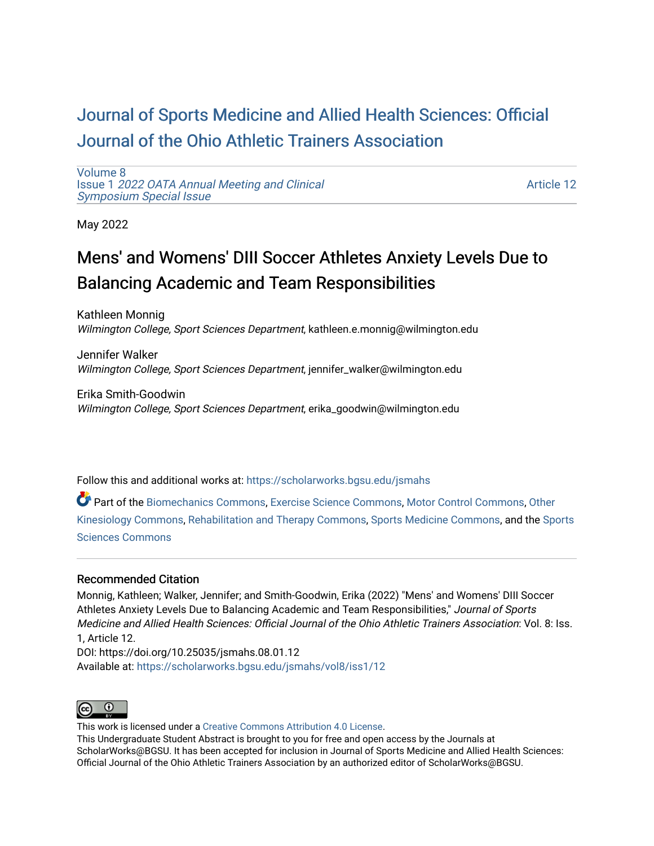## [Journal of Sports Medicine and Allied Health Sciences: Official](https://scholarworks.bgsu.edu/jsmahs)  [Journal of the Ohio Athletic Trainers Association](https://scholarworks.bgsu.edu/jsmahs)

[Volume 8](https://scholarworks.bgsu.edu/jsmahs/vol8) Issue 1 [2022 OATA Annual Meeting and Clinical](https://scholarworks.bgsu.edu/jsmahs/vol8/iss1) [Symposium Special Issue](https://scholarworks.bgsu.edu/jsmahs/vol8/iss1)

[Article 12](https://scholarworks.bgsu.edu/jsmahs/vol8/iss1/12) 

May 2022

# Mens' and Womens' DIII Soccer Athletes Anxiety Levels Due to Balancing Academic and Team Responsibilities

Kathleen Monnig Wilmington College, Sport Sciences Department, kathleen.e.monnig@wilmington.edu

Jennifer Walker Wilmington College, Sport Sciences Department, jennifer\_walker@wilmington.edu

Erika Smith-Goodwin Wilmington College, Sport Sciences Department, erika\_goodwin@wilmington.edu

Follow this and additional works at: [https://scholarworks.bgsu.edu/jsmahs](https://scholarworks.bgsu.edu/jsmahs?utm_source=scholarworks.bgsu.edu%2Fjsmahs%2Fvol8%2Fiss1%2F12&utm_medium=PDF&utm_campaign=PDFCoverPages)

Part of the [Biomechanics Commons,](https://network.bepress.com/hgg/discipline/43?utm_source=scholarworks.bgsu.edu%2Fjsmahs%2Fvol8%2Fiss1%2F12&utm_medium=PDF&utm_campaign=PDFCoverPages) [Exercise Science Commons](https://network.bepress.com/hgg/discipline/1091?utm_source=scholarworks.bgsu.edu%2Fjsmahs%2Fvol8%2Fiss1%2F12&utm_medium=PDF&utm_campaign=PDFCoverPages), [Motor Control Commons](https://network.bepress.com/hgg/discipline/45?utm_source=scholarworks.bgsu.edu%2Fjsmahs%2Fvol8%2Fiss1%2F12&utm_medium=PDF&utm_campaign=PDFCoverPages), Other [Kinesiology Commons,](https://network.bepress.com/hgg/discipline/47?utm_source=scholarworks.bgsu.edu%2Fjsmahs%2Fvol8%2Fiss1%2F12&utm_medium=PDF&utm_campaign=PDFCoverPages) [Rehabilitation and Therapy Commons](https://network.bepress.com/hgg/discipline/749?utm_source=scholarworks.bgsu.edu%2Fjsmahs%2Fvol8%2Fiss1%2F12&utm_medium=PDF&utm_campaign=PDFCoverPages), [Sports Medicine Commons](https://network.bepress.com/hgg/discipline/1331?utm_source=scholarworks.bgsu.edu%2Fjsmahs%2Fvol8%2Fiss1%2F12&utm_medium=PDF&utm_campaign=PDFCoverPages), and the [Sports](https://network.bepress.com/hgg/discipline/759?utm_source=scholarworks.bgsu.edu%2Fjsmahs%2Fvol8%2Fiss1%2F12&utm_medium=PDF&utm_campaign=PDFCoverPages)  [Sciences Commons](https://network.bepress.com/hgg/discipline/759?utm_source=scholarworks.bgsu.edu%2Fjsmahs%2Fvol8%2Fiss1%2F12&utm_medium=PDF&utm_campaign=PDFCoverPages) 

#### Recommended Citation

Monnig, Kathleen; Walker, Jennifer; and Smith-Goodwin, Erika (2022) "Mens' and Womens' DIII Soccer Athletes Anxiety Levels Due to Balancing Academic and Team Responsibilities," Journal of Sports Medicine and Allied Health Sciences: Official Journal of the Ohio Athletic Trainers Association: Vol. 8: Iss. 1, Article 12.

DOI: https://doi.org/10.25035/jsmahs.08.01.12 Available at: [https://scholarworks.bgsu.edu/jsmahs/vol8/iss1/12](https://scholarworks.bgsu.edu/jsmahs/vol8/iss1/12?utm_source=scholarworks.bgsu.edu%2Fjsmahs%2Fvol8%2Fiss1%2F12&utm_medium=PDF&utm_campaign=PDFCoverPages) 



This work is licensed under a [Creative Commons Attribution 4.0 License](https://creativecommons.org/licenses/by/4.0/). This Undergraduate Student Abstract is brought to you for free and open access by the Journals at ScholarWorks@BGSU. It has been accepted for inclusion in Journal of Sports Medicine and Allied Health Sciences: Official Journal of the Ohio Athletic Trainers Association by an authorized editor of ScholarWorks@BGSU.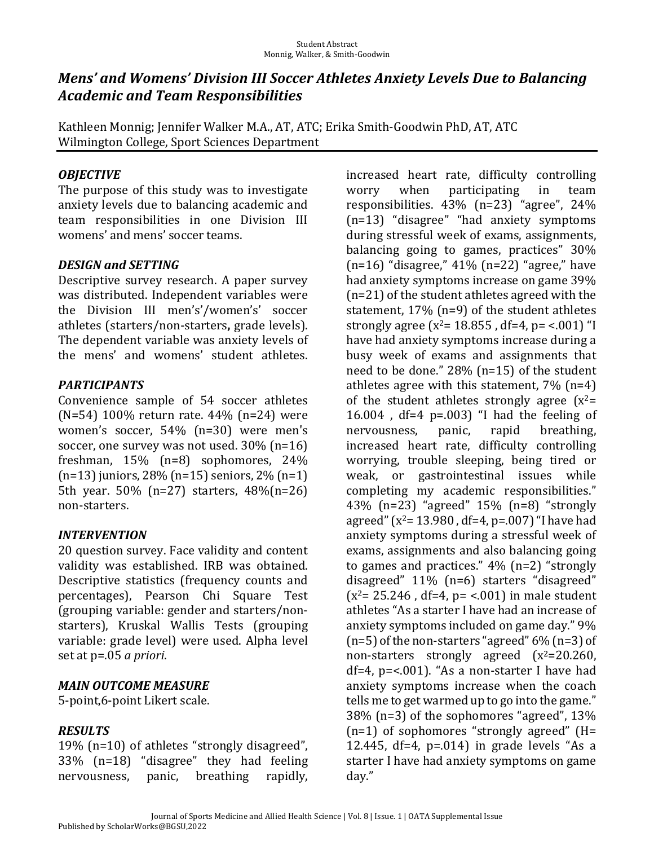### *Mens'* and *Womens' Division III Soccer Athletes Anxiety Levels Due to Balancing Academic and Team Responsibilities*

Kathleen Monnig; Jennifer Walker M.A., AT, ATC; Erika Smith-Goodwin PhD, AT, ATC Wilmington College, Sport Sciences Department

#### *OBJECTIVE*

The purpose of this study was to investigate anxiety levels due to balancing academic and team responsibilities in one Division III womens' and mens' soccer teams.

#### *DESIGN and SETTING*

Descriptive survey research. A paper survey was distributed. Independent variables were the Division III men's'/women's' soccer athletes (starters/non-starters, grade levels). The dependent variable was anxiety levels of the mens' and womens' student athletes.

#### *PARTICIPANTS*

Convenience sample of 54 soccer athletes  $(N=54)$  100% return rate. 44% (n=24) were women's soccer, 54% (n=30) were men's soccer, one survey was not used.  $30\%$  (n=16) freshman,  $15\%$  (n=8) sophomores,  $24\%$  $(n=13)$  juniors, 28%  $(n=15)$  seniors, 2%  $(n=1)$ 5th year. 50% (n=27) starters, 48%(n=26) non-starters.

#### *INTERVENTION*

20 question survey. Face validity and content validity was established. IRB was obtained. Descriptive statistics (frequency counts and percentages), Pearson Chi Square Test (grouping variable: gender and starters/nonstarters), Kruskal Wallis Tests (grouping variable: grade level) were used. Alpha level set at p=.05 *a priori*.

### *MAIN.OUTCOME.MEASURE*

5-point, 6-point Likert scale.

#### *RESULTS*

19% ( $n=10$ ) of athletes "strongly disagreed", 33% (n=18) "disagree" they had feeling nervousness, panic, breathing rapidly,

increased heart rate, difficulty controlling worry when participating in team responsibilities. 43% (n=23) "agree", 24% (n=13) "disagree" "had anxiety symptoms during stressful week of exams, assignments, balancing going to games, practices" 30%  $(n=16)$  "disagree,"  $41\%$   $(n=22)$  "agree," have had anxiety symptoms increase on game 39%  $(n=21)$  of the student athletes agreed with the statement,  $17\%$  (n=9) of the student athletes strongly agree  $(x^2 = 18.855$ , df=4, p= <.001) "I have had anxiety symptoms increase during a busy week of exams and assignments that need to be done."  $28\%$  (n=15) of the student athletes agree with this statement,  $7\%$  (n=4) of the student athletes strongly agree  $(x^2=$ 16.004, df=4  $p=.003$  "I had the feeling of nervousness, panic, rapid breathing, increased heart rate, difficulty controlling worrying, trouble sleeping, being tired or weak, or gastrointestinal issues while completing my academic responsibilities." 43% (n=23) "agreed" 15% (n=8) "strongly agreed"  $(x^2=13.980$ , df=4, p=.007) "I have had anxiety symptoms during a stressful week of exams, assignments and also balancing going to games and practices."  $4\%$  (n=2) "strongly disagreed" 11% (n=6) starters "disagreed"  $(x^2 = 25.246$ , df=4, p= <.001) in male student athletes "As a starter I have had an increase of anxiety symptoms included on game day." 9%  $(n=5)$  of the non-starters "agreed" 6%  $(n=3)$  of non-starters strongly agreed  $(x^2=20.260)$ , df=4,  $p$ =<.001). "As a non-starter I have had anxiety symptoms increase when the coach tells me to get warmed up to go into the game."  $38\%$  (n=3) of the sophomores "agreed",  $13\%$  $(n=1)$  of sophomores "strongly agreed" (H= 12.445, df=4,  $p=014$ ) in grade levels "As a starter I have had anxiety symptoms on game day."